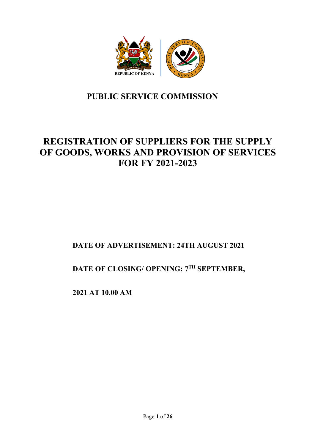

# **PUBLIC SERVICE COMMISSION**

# **REGISTRATION OF SUPPLIERS FOR THE SUPPLY OF GOODS, WORKS AND PROVISION OF SERVICES FOR FY 2021-2023**

# **DATE OF ADVERTISEMENT: 24TH AUGUST 2021**

**DATE OF CLOSING/ OPENING: 7TH SEPTEMBER,**

**2021 AT 10.00 AM**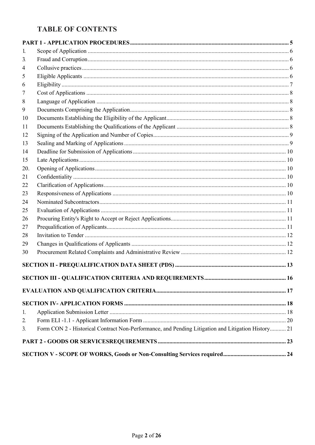# **TABLE OF CONTENTS**

| 1.  |                                                                                                    |  |
|-----|----------------------------------------------------------------------------------------------------|--|
| 3.  |                                                                                                    |  |
| 4   |                                                                                                    |  |
| 5   |                                                                                                    |  |
| 6   |                                                                                                    |  |
| 7   |                                                                                                    |  |
| 8   |                                                                                                    |  |
| 9   |                                                                                                    |  |
| 10  |                                                                                                    |  |
| 11  |                                                                                                    |  |
| 12  |                                                                                                    |  |
| 13  |                                                                                                    |  |
| 14  |                                                                                                    |  |
| 15  |                                                                                                    |  |
| 20. |                                                                                                    |  |
| 21  |                                                                                                    |  |
| 22  |                                                                                                    |  |
| 23  |                                                                                                    |  |
| 24  |                                                                                                    |  |
| 25  |                                                                                                    |  |
| 26  |                                                                                                    |  |
| 27  |                                                                                                    |  |
| 28  |                                                                                                    |  |
| 29  |                                                                                                    |  |
| 30  |                                                                                                    |  |
|     |                                                                                                    |  |
|     |                                                                                                    |  |
|     |                                                                                                    |  |
|     |                                                                                                    |  |
| 1.  |                                                                                                    |  |
| 2.  |                                                                                                    |  |
| 3.  | Form CON 2 - Historical Contract Non-Performance, and Pending Litigation and Litigation History 21 |  |
|     |                                                                                                    |  |
|     |                                                                                                    |  |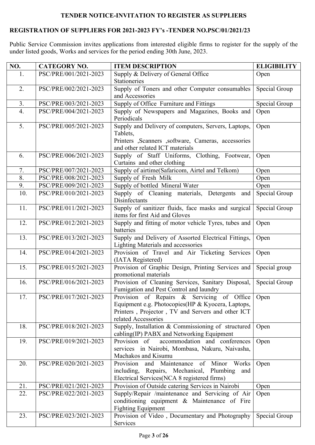### **TENDER NOTICE-INVITATION TO REGISTER AS SUPPLIERS**

### **REGISTRATION OF SUPPLIERS FOR 2021-2023 FY's -TENDER NO.PSC/01/2021/23**

Public Service Commission invites applications from interested eligible firms to register for the supply of the under listed goods, Works and services for the period ending 30th June, 2023.

| NO.              | <b>CATEGORY NO.</b><br><b>ITEM DESCRIPTION</b> |                                                                                                   | <b>ELIGIBILITY</b> |
|------------------|------------------------------------------------|---------------------------------------------------------------------------------------------------|--------------------|
| 1.               | PSC/PRE/001/2021-2023                          | Supply & Delivery of General Office                                                               | Open               |
|                  |                                                | <b>Stationeries</b>                                                                               |                    |
| 2.               | PSC/PRE/002/2021-2023                          | Supply of Toners and other Computer consumables                                                   | Special Group      |
|                  |                                                | and Accessories                                                                                   |                    |
| 3.               | PSC/PRE/003/2021-2023                          | Supply of Office Furniture and Fittings                                                           | Special Group      |
| $\overline{4}$ . | PSC/PRE/004/2021-2023                          | Supply of Newspapers and Magazines, Books and<br>Periodicals                                      | Open               |
| 5.               | PSC/PRE/005/2021-2023                          | Supply and Delivery of computers, Servers, Laptops,                                               | Open               |
|                  |                                                | Tablets,<br>Printers ,Scanners ,software, Cameras, accessories                                    |                    |
|                  |                                                | and other related ICT materials                                                                   |                    |
| 6.               | PSC/PRE/006/2021-2023                          | Supply of Staff Uniforms, Clothing, Footwear,                                                     | Open               |
|                  |                                                | Curtains and other clothing                                                                       |                    |
| 7.               | PSC/PRE/007/2021-2023                          | Supply of airtime(Safaricom, Airtel and Telkom)                                                   | Open               |
| 8.               | PSC/PRE/008/2021-2023                          | Supply of Fresh Milk                                                                              | Open               |
| 9.               | PSC/PRE/009/2021-2023                          | Supply of bottled Mineral Water                                                                   | Open               |
| 10.              | PSC/PRE/010/2021-2023                          | Supply of Cleaning materials, Detergents and<br>Disinfectants                                     | Special Group      |
| 11.              | PSC/PRE/011/2021-2023                          | Supply of sanitizer fluids, face masks and surgical<br>items for first Aid and Gloves             | Special Group      |
| 12.              | PSC/PRE/012/2021-2023                          | Supply and fitting of motor vehicle Tyres, tubes and<br>batteries                                 | Open               |
| 13.              | PSC/PRE/013/2021-2023                          | Supply and Delivery of Assorted Electrical Fittings,<br><b>Lighting Materials and accessories</b> | Open               |
| 14.              | PSC/PRE/014/2021-2023                          | Provision of Travel and Air Ticketing Services<br>(IATA Registered)                               | Open               |
| 15.              | PSC/PRE/015/2021-2023                          | Provision of Graphic Design, Printing Services and<br>promotional materials                       | Special group      |
| 16.              | PSC/PRE/016/2021-2023                          | Provision of Cleaning Services, Sanitary Disposal,<br>Fumigation and Pest Control and laundry     | Special Group      |
| 17.              | PSC/PRE/017/2021-2023                          | Provision of Repairs & Servicing of Office                                                        | Open               |
|                  |                                                | Equipment e.g. Photocopies (HP & Kyocera, Laptops,                                                |                    |
|                  |                                                | Printers, Projector, TV and Servers and other ICT                                                 |                    |
|                  |                                                | related Accessories                                                                               |                    |
| 18.              | PSC/PRE/018/2021-2023                          | Supply, Installation & Commissioning of structured                                                | Open               |
| 19.              | PSC/PRE/019/2021-2023                          | cabling(IP) PABX and Networking Equipment<br>Provision of<br>accommodation and conferences        | Open               |
|                  |                                                | services in Nairobi, Mombasa, Nakuru, Naivasha,                                                   |                    |
|                  |                                                | Machakos and Kisumu                                                                               |                    |
| 20.              | PSC/PRE/020/2021-2023                          | Provision<br>Maintenance<br>and<br>of Minor<br>Works                                              | Open               |
|                  |                                                | including, Repairs, Mechanical, Plumbing<br>and                                                   |                    |
|                  |                                                | Electrical Services (NCA 8 registered firms)                                                      |                    |
| 21.              | PSC/PRE/021/2021-2023                          | Provision of Outside catering Services in Nairobi                                                 | Open               |
| 22.              | PSC/PRE/022/2021-2023                          | Supply/Repair /maintenance and Servicing of Air                                                   | Open               |
|                  |                                                | conditioning equipment & Maintenance of Fire                                                      |                    |
|                  |                                                | <b>Fighting Equipment</b>                                                                         |                    |
| 23.              | PSC/PRE/023/2021-2023                          | Provision of Video, Documentary and Photography                                                   | Special Group      |
|                  |                                                | Services                                                                                          |                    |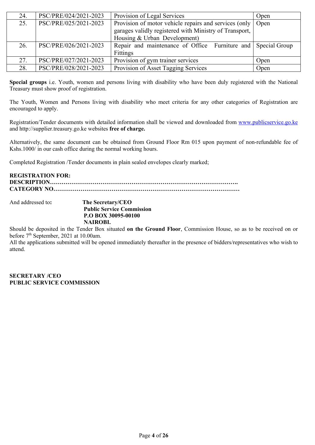| 24. | PSC/PRE/024/2021-2023 | Provision of Legal Services                                  | Open |
|-----|-----------------------|--------------------------------------------------------------|------|
| 25. | PSC/PRE/025/2021-2023 | Provision of motor vehicle repairs and services (only   Open |      |
|     |                       | garages validly registered with Ministry of Transport,       |      |
|     |                       | Housing & Urban Development)                                 |      |
| 26. | PSC/PRE/026/2021-2023 | Repair and maintenance of Office Furniture and Special Group |      |
|     |                       | <b>Fittings</b>                                              |      |
| 27. | PSC/PRE/027/2021-2023 | Provision of gym trainer services                            | Open |
| 28. | PSC/PRE/028/2021-2023 | Provision of Asset Tagging Services                          | Open |

**Special groups** i.e. Youth, women and persons living with disability who have been duly registered with the National Treasury must show proof of registration.

The Youth, Women and Persons living with disability who meet criteria for any other categories of Registration are encouraged to apply.

Registration/Tender documents with detailed information shall be viewed and downloaded from www.publicservice.go.ke and http://supplier.treasury.go.ke websites **free of charge.**

Alternatively, the same document can be obtained from Ground Floor Rm 015 upon payment of non-refundable fee of Kshs.1000/ in our cash office during the normal working hours.

Completed Registration /Tender documents in plain sealed envelopes clearly marked;

| <b>REGISTRATION FOR:</b> |  |
|--------------------------|--|
|                          |  |
|                          |  |
|                          |  |

And addressed to**: The Secretary/CEO Public Service Commission P.O BOX 30095-00100 NAIROBI.**

Should be deposited in the Tender Box situated **on the Ground Floor**, Commission House, so as to be received on or before 7<sup>th</sup> September, 2021 at 10.00am.

All the applications submitted will be opened immediately thereafter in the presence of bidders/representatives who wish to attend.

**SECRETARY /CEO PUBLIC SERVICE COMMISSION**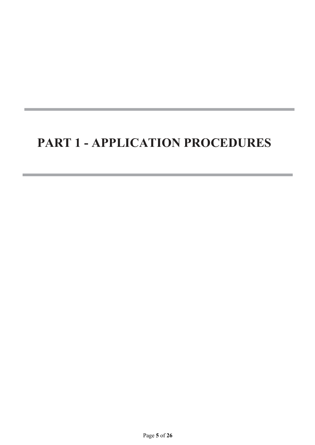# **PART 1 - APPLICATION PROCEDURES**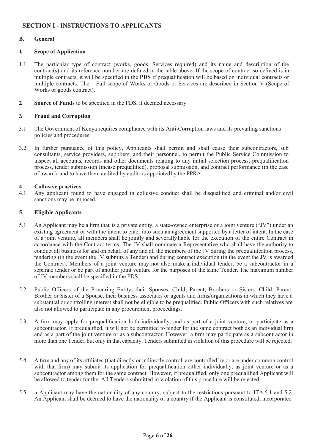### **SECTION I - INSTRUCTIONS TO APPLICANTS**

#### **B. General**

#### **1. Scope of Application**

- 1.1 The particular type of contract (works, goods, Services required) and its name and description of the contract(s) and its reference number are defined in the table above**.** If the scope of contract so defined is in multiple contracts, it will be specified in the **PDS** if prequalification will be based on individual contracts or multiple contracts. The Full scope of Works or Goods or Services are described in Section V (Scope of Works or goods contract).
- **2. Source of Funds** to be specified in the PDS, if deemed necessary.

#### **3. Fraud and Corruption**

- 3.1 The Government of Kenya requires compliance with its Anti-Corruption laws and its prevailing sanctions policies and procedures.
- 3.2 In further pursuance of this policy, Applicants shall permit and shall cause their subcontractors, sub consultants, service providers, suppliers, and their personnel, to permit the Public Service Commission to inspect all accounts, records and other documents relating to any initial selection process, prequalification process, tender submission (incase prequalified), proposal submission, and contract performance (in the case of award), and to have them audited by auditors appointed by the PPRA.

#### **4 Collusive practices**

4.1 Any applicant found to have engaged in collusive conduct shall be disqualified and criminal and/or civil sanctions may be imposed.

#### **5 Eligible Applicants**

- 5.1 An Applicant may be a firm that is a private entity, a state-owned enterprise or a joint venture ("JV") under an existing agreement or with the intent to enter into such an agreement supported by a letter of intent. In the case of a joint venture, all members shall be jointly and severallyliable for the execution of the entire Contract in accordance with the Contract terms. The JV shall nominate a Representative who shall have the authority to conduct all business for and on behalf of any and all the members of the JV during the prequalification process, tendering (in the event the JV submits a Tender) and during contract execution (in the event the JV is awarded the Contract). Members of a joint venture may not also make an individual tender, be a subcontractor in a separate tender or be part of another joint venture for the purposes of the same Tender. The maximum number of JV members shall be specified in the PDS.
- 5.2 Public Officers of the Procuring Entity, their Spouses, Child, Parent, Brothers or Sisters. Child, Parent, Brother or Sister of a Spouse, their business associates or agents and firms/organizations in which they have a substantial or controlling interest shall not be eligible to be prequalified. Public Officers with such relatives are also not allowed to participate in any procurement proceedings.
- 5.3 A firm may apply for prequalification both individually, and as part of a joint venture, or participate as a subcontractor. If prequalified, it will not be permitted to tender for the same contract both as an individual firm and as a part of the joint venture or as a subcontractor. However, a firm may participate as a subcontractor in more than one Tender, but only in that capacity. Tenderssubmitted in violation of this procedure will be rejected.
- 5.4 A firm and any of its affiliates (that directly or indirectly control, are controlled by or are under common control with that firm) may submit its application for prequalification either individually, as joint venture or as a subcontractor among them for the same contract. However, if prequalified, only one prequalified Applicant will be allowed to tender for the. All Tenders submitted in violation of this procedure will be rejected.
- 5.5 n Applicant may have the nationality of any country, subject to the restrictions pursuant to ITA 5.1 and 5.2. An Applicant shall be deemed to have the nationality of a country if the Applicant is constituted, incorporated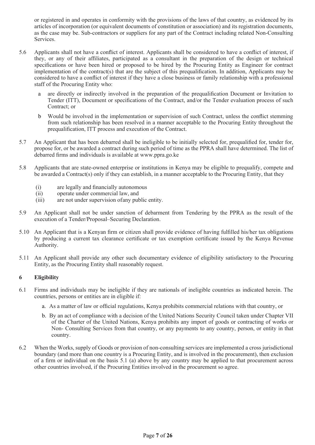or registered in and operates in conformity with the provisions of the laws of that country, as evidenced by its articles of incorporation (or equivalent documents of constitution or association) and its registration documents, as the case may be. Sub-contractors or suppliers for any part of the Contract including related Non-Consulting Services.

- 5.6 Applicants shall not have a conflict of interest. Applicants shall be considered to have a conflict of interest, if they, or any of their affiliates, participated as a consultant in the preparation of the design or technical specifications or have been hired or proposed to be hired by the Procuring Entity as Engineer for contract implementation of the contract(s) that are the subject of this prequalification. In addition, Applicants may be considered to have a conflict of interest if they have a close business or family relationship with a professional staff of the Procuring Entity who:
	- a are directly or indirectly involved in the preparation of the prequalification Document or Invitation to Tender (ITT), Document or specifications of the Contract, and/or the Tender evaluation process of such Contract; or
	- b Would be involved in the implementation or supervision of such Contract, unless the conflict stemming from such relationship has been resolved in a manner acceptable to the Procuring Entity throughout the prequalification, ITT process and execution of the Contract.
- 5.7 An Applicant that has been debarred shall be ineligible to be initially selected for, prequalified for, tender for, propose for, or be awarded a contract during such period of time as the PPRA shall have determined. The list of debarred firms and individuals is available at www.ppra.go.ke
- 5.8 Applicants that are state-owned enterprise or institutions in Kenya may be eligible to prequalify, compete and be awarded a Contract(s) only if they can establish, in a manner acceptable to the Procuring Entity, that they
	- (i) are legally and financially autonomous<br>(ii) operate under commercial law, and
	- operate under commercial law, and
	- (iii) are not under supervision of any public entity.
- 5.9 An Applicant shall not be under sanction of debarment from Tendering by the PPRA as the result of the execution of a Tender/Proposal–Securing Declaration.
- 5.10 An Applicant that is a Kenyan firm or citizen shall provide evidence of having fulfilled his/her tax obligations by producing a current tax clearance certificate or tax exemption certificate issued by the Kenya Revenue Authority.
- 5.11 An Applicant shall provide any other such documentary evidence of eligibility satisfactory to the Procuring Entity, as the Procuring Entity shall reasonably request.

#### **6 Eligibility**

- 6.1 Firms and individuals may be ineligible if they are nationals of ineligible countries as indicated herein. The countries, persons or entities are in eligible if:
	- a. As a matter of law or official regulations, Kenya prohibits commercial relations with that country, or
	- b. By an act of compliance with a decision of the United Nations Security Council taken under Chapter VII of the Charter of the United Nations, Kenya prohibits any import of goods or contracting of works or Non- Consulting Services from that country, or any payments to any country, person, or entity in that country.
- 6.2 When the Works,supply of Goods or provision of non-consulting services are implemented a cross jurisdictional boundary (and more than one country is a Procuring Entity, and is involved in the procurement), then exclusion of a firm or individual on the basis 5.1 (a) above by any country may be applied to that procurement across other countries involved, if the Procuring Entities involved in the procurement so agree.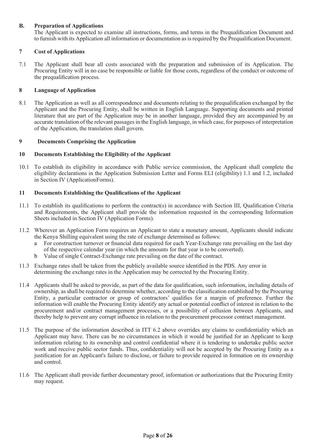#### **B. Preparation of Applications**

The Applicant is expected to examine all instructions, forms, and terms in the Prequalification Document and to furnish with its Application all information or documentation asisrequired by the Prequalification Document.

#### **7 Cost of Applications**

7.1 The Applicant shall bear all costs associated with the preparation and submission of its Application. The Procuring Entity will in no case be responsible or liable for those costs, regardless of the conduct or outcome of the prequalification process.

#### **8 Language of Application**

8.1 The Application as well as all correspondence and documents relating to the prequalification exchanged by the Applicant and the Procuring Entity, shall be written in English Language. Supporting documents and printed literature that are part of the Application may be in another language, provided they are accompanied by an accurate translation of the relevant passages in the English language, in which case, for purposes of interpretation of the Application, the translation shall govern.

#### **9 Documents Comprising the Application**

#### **10 Documents Establishing the Eligibility of the Applicant**

10.1 To establish its eligibility in accordance with Public service commission, the Applicant shall complete the eligibility declarations in the Application Submission Letter and Forms ELI (eligibility) 1.1 and 1.2, included in Section IV (ApplicationForms).

#### **11 Documents Establishing the Qualifications of the Applicant**

- 11.1 To establish its qualifications to perform the contract(s) in accordance with Section III, Qualification Criteria and Requirements, the Applicant shall provide the information requested in the corresponding Information Sheets included in Section IV (Application Forms).
- 11.2 Wherever an Application Form requires an Applicant to state a monetary amount, Applicants should indicate the Kenya Shilling equivalent using the rate of exchange determined as follows:
	- a For construction turnover or financial data required for each Year-Exchange rate prevailing on the last day of the respective calendar year (in which the amounts for that year is to be converted).
	- b Value of single Contract-Exchange rate prevailing on the date of the contract.
- 11.3 Exchange rates shall be taken from the publicly available source identified in the PDS. Any error in determining the exchange rates in the Application may be corrected by the Procuring Entity.
- 11.4 Applicants shall be asked to provide, as part of the data for qualification, such information, including details of ownership, as shall be required to determine whether, according to the classification established by the Procuring Entity, a particular contractor or group of contractors' qualifies for a margin of preference. Further the information will enable the Procuring Entity identify any actual or potential conflict of interest in relation to the procurement and/or contract management processes, or a possibility of collusion between Applicants, and thereby help to prevent any corrupt influence in relation to the procurement processor contract management.
- 11.5 The purpose of the information described in ITT 6.2 above overrides any claims to confidentiality which an Applicant may have. There can be no circumstances in which it would be justified for an Applicant to keep information relating to its ownership and control confidential where it is tendering to undertake public sector work and receive public sector funds. Thus, confidentiality will not be accepted by the Procuring Entity as a justification for an Applicant's failure to disclose, or failure to provide required in formation on its ownership and control.
- 11.6 The Applicant shall provide further documentary proof, information or authorizations that the Procuring Entity may request.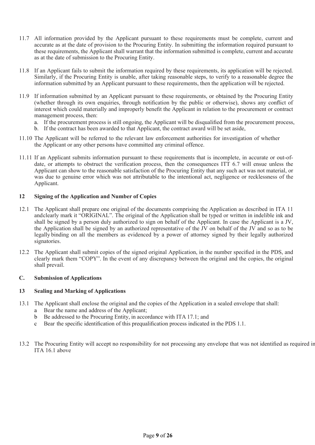- 11.7 All information provided by the Applicant pursuant to these requirements must be complete, current and accurate as at the date of provision to the Procuring Entity. In submitting the information required pursuant to these requirements, the Applicant shall warrant that the information submitted is complete, current and accurate as at the date of submission to the Procuring Entity.
- 11.8 If an Applicant fails to submit the information required by these requirements, its application will be rejected. Similarly, if the Procuring Entity is unable, after taking reasonable steps, to verify to a reasonable degree the information submitted by an Applicant pursuant to these requirements, then the application will be rejected.
- 11.9 If information submitted by an Applicant pursuant to these requirements, or obtained by the Procuring Entity (whether through its own enquiries, through notification by the public or otherwise), shows any conflict of interest which could materially and improperly benefit the Applicant in relation to the procurement or contract management process, then:
	- a. If the procurement process is still ongoing, the Applicant will be disqualified from the procurement process,
	- b. If the contract has been awarded to that Applicant, the contract award will be set aside,
- 11.10 The Applicant will be referred to the relevant law enforcement authorities for investigation of whether the Applicant or any other persons have committed any criminal offence.
- 11.11 If an Applicant submits information pursuant to these requirements that is incomplete, in accurate or out-ofdate, or attempts to obstruct the verification process, then the consequences ITT 6.7 will ensue unless the Applicant can show to the reasonable satisfaction of the Procuring Entity that any such act was not material, or was due to genuine error which was not attributable to the intentional act, negligence or recklessness of the Applicant.

#### **12 Signing of the Application and Number of Copies**

- 12.1 The Applicant shall prepare one original of the documents comprising the Application as described in ITA 11 andclearly mark it "ORIGINAL". The original of the Application shall be typed or written in indelible ink and shall be signed by a person duly authorized to sign on behalf of the Applicant. In case the Applicant is a JV, the Application shall be signed by an authorized representative of the JV on behalf of the JV and so as to be legally binding on all the members as evidenced by a power of attorney signed by their legally authorized signatories.
- 12.2 The Applicant shall submit copies of the signed original Application, in the number specified in the PDS, and clearly mark them "COPY". In the event of any discrepancy between the original and the copies, the original shall prevail.

#### **C. Submission of Applications**

#### **13 Sealing and Marking of Applications**

- 13.1 The Applicant shall enclose the original and the copies of the Application in a sealed envelope that shall:
	- a Bear the name and address of the Applicant;
	- b Be addressed to the Procuring Entity, in accordance with ITA 17.1; and
	- c Bear the specific identification of this prequalification process indicated in the PDS 1.1.
- 13.2 The Procuring Entity will accept no responsibility for not processing any envelope that was not identified as required in ITA 16.1 above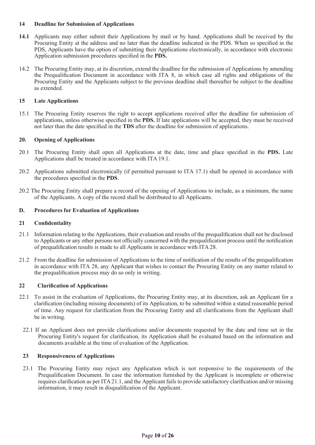#### **14 Deadline for Submission of Applications**

- **14.1** Applicants may either submit their Applications by mail or by hand. Applications shall be received by the Procuring Entity at the address and no later than the deadline indicated in the PDS. When so specified in the PDS, Applicants have the option of submitting their Applications electronically, in accordance with electronic Application submission procedures specified in the **PDS.**
- 14.2 The Procuring Entity may, at its discretion, extend the deadline for the submission of Applications by amending the Prequalification Document in accordance with ITA 8, in which case all rights and obligations of the Procuring Entity and the Applicants subject to the previous deadline shall thereafter be subject to the deadline as extended.

#### **15 Late Applications**

15.1 The Procuring Entity reserves the right to accept applications received after the deadline for submission of applications, unless otherwise specified in the **PDS.** If late applications will be accepted, they must be received not later than the date specified in the **TDS** after the deadline for submission of applications.

#### **20. Opening of Applications**

- 20.1 The Procuring Entity shall open all Applications at the date, time and place specified in the **PDS.** Late Applications shall be treated in accordance with ITA 19.1.
- 20.2 Applications submitted electronically (if permitted pursuant to ITA 17.1) shall be opened in accordance with the procedures specified in the **PDS**.
- 20.2 The Procuring Entity shall prepare a record of the opening of Applications to include, as a minimum, the name of the Applicants. A copy of the record shall be distributed to all Applicants.

#### **D. Procedures for Evaluation of Applications**

#### **21 Confidentiality**

- 21.1 Information relating to the Applications, their evaluation and results of the prequalification shall not be disclosed to Applicants or any other persons not officially concerned with the prequalification process until the notification of prequalification results is made to all Applicants in accordance with ITA 28.
- 21.2 From the deadline for submission of Applications to the time of notification of the results of the prequalification in accordance with ITA 28, any Applicant that wishes to contact the Procuring Entity on any matter related to the prequalification process may do so only in writing.

#### **22 Clarification of Applications**

- 22.1 To assist in the evaluation of Applications, the Procuring Entity may, at its discretion, ask an Applicant for a clarification (including missing documents) of its Application, to be submitted within a stated reasonable period of time. Any request for clarification from the Procuring Entity and all clarifications from the Applicant shall be in writing.
	- 22.1 If an Applicant does not provide clarifications and/or documents requested by the date and time set in the Procuring Entity's request for clarification, its Application shall be evaluated based on the information and documents available at the time of evaluation of the Application.

#### **23 Responsiveness of Applications**

23.1 The Procuring Entity may reject any Application which is not responsive to the requirements of the Prequalification Document. In case the information furnished by the Applicant is incomplete or otherwise requires clarification as per ITA21.1, and the Applicant fails to provide satisfactory clarification and/or missing information, it may result in disqualification of the Applicant.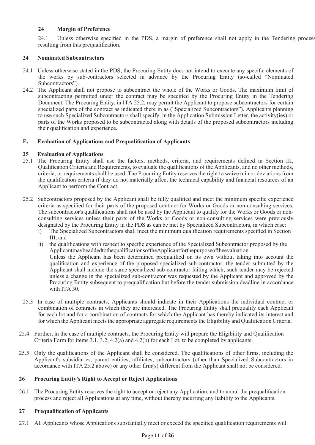#### **24 Margin of Preference**

24.1 Unless otherwise specified in the PDS, a margin of preference shall not apply in the Tendering process resulting from this prequalification.

#### **24 Nominated Subcontractors**

- 24.1 Unless otherwise stated in the PDS, the Procuring Entity does not intend to execute any specific elements of the works by sub-contractors selected in advance by the Procuring Entity (so-called "Nominated Subcontractors").
- 24.2 The Applicant shall not propose to subcontract the whole of the Works or Goods. The maximum limit of subcontracting permitted under the contract may be specified by the Procuring Entity in the Tendering Document. The Procuring Entity, in ITA 25.2, may permit the Applicant to propose subcontractors for certain specialized parts of the contract as indicated there in as ("Specialized Subcontractors"). Applicants planning to use such Specialized Subcontractors shall specify, in the Application Submission Letter, the activity(ies) or parts of the Works proposed to be subcontracted along with details of the proposed subcontractors including their qualification and experience.

#### **E. Evaluation of Applications and Prequalification of Applicants**

#### **25 Evaluation of Applications**

- 25.1 The Procuring Entity shall use the factors, methods, criteria, and requirements defined in Section III, Qualification Criteria and Requirements, to evaluate the qualifications of the Applicants, and no other methods, criteria, or requirements shall be used. The Procuring Entity reserves the right to waive min or deviations from the qualification criteria if they do not materially affect the technical capability and financial resources of an Applicant to perform the Contract.
- 25.2 Subcontractors proposed by the Applicant shall be fully qualified and meet the minimum specific experience criteria as specified for their parts of the proposed contract for Works or Goods or non-consulting services. The subcontractor's qualifications shall not be used by the Applicant to qualify for the Works or Goods or nonconsulting services unless their parts of the Works or Goods or non-consulting services were previously designated by the Procuring Entity in the PDS as can be met by Specialized Subcontractors, in which case:
	- i) The Specialized Subcontractors shall meet the minimum qualification requirements specified in Section III, and
	- ii) the qualifications with respect to specific experience of the Specialized Subcontractor proposed by the ApplicantmaybeaddedtothequalificationsoftheApplicantforthepurposeoftheevaluation. Unless the Applicant has been determined prequalified on its own without taking into account the qualification and experience of the proposed specialized sub-contractor, the tender submitted by the Applicant shall include the same specialized sub-contractor failing which, such tender may be rejected unless a change in the specialized sub-contractor was requested by the Applicant and approved by the Procuring Entity subsequent to prequalification but before the tender submission deadline in accordance with ITA 30.
- 25.3 In case of multiple contracts, Applicants should indicate in their Applications the individual contract or combination of contracts in which they are interested. The Procuring Entity shall prequalify each Applicant for each lot and for a combination of contracts for which the Applicant has thereby indicated its interest and for which the Applicant meets the appropriate aggregate requirements the Eligibility and Qualification Criteria.
- 25.4 Further, in the case of multiple contracts, the Procuring Entity will prepare the Eligibility and Qualification Criteria Form for items 3.1, 3.2, 4.2(a) and 4.2(b) for each Lot, to be completed by applicants.
- 25.5 Only the qualifications of the Applicant shall be considered. The qualifications of other firms, including the Applicant's subsidiaries, parent entities, affiliates, subcontractors (other than Specialized Subcontractors in accordance with ITA 25.2 above) or any other firm(s) different from the Applicant shall not be considered.

#### **26 Procuring Entity's Right to Accept or Reject Applications**

26.1 The Procuring Entity reserves the right to accept or reject any Application, and to annul the prequalification process and reject all Applications at any time, without thereby incurring any liability to the Applicants.

#### **27 Prequalification of Applicants**

27.1 All Applicants whose Applications substantially meet or exceed the specified qualification requirements will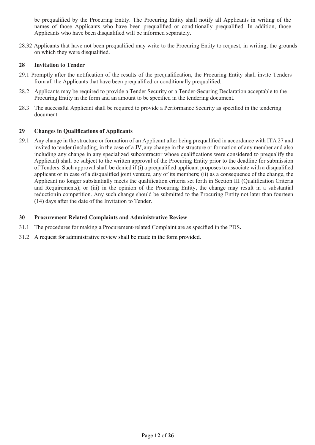be prequalified by the Procuring Entity. The Procuring Entity shall notify all Applicants in writing of the names of those Applicants who have been prequalified or conditionally prequalified. In addition, those Applicants who have been disqualified will be informed separately.

28.32 Applicants that have not been prequalified may write to the Procuring Entity to request, in writing, the grounds on which they were disqualified.

#### **28 Invitation to Tender**

- 29.1 Promptly after the notification of the results of the prequalification, the Procuring Entity shall invite Tenders from all the Applicants that have been prequalified or conditionally prequalified.
- 28.2 Applicants may be required to provide a Tender Security or a Tender-Securing Declaration acceptable to the Procuring Entity in the form and an amount to be specified in the tendering document.
- 28.3 The successful Applicant shall be required to provide a Performance Security as specified in the tendering document.

#### **29 Changes in Qualifications of Applicants**

29.1 Any change in the structure or formation of an Applicant after being prequalified in accordance with ITA 27 and invited to tender (including, in the case of a JV, any change in the structure or formation of any member and also including any change in any specialized subcontractor whose qualifications were considered to prequalify the Applicant) shall be subject to the written approval of the Procuring Entity prior to the deadline for submission of Tenders. Such approval shall be denied if (i) a prequalified applicant proposes to associate with a disqualified applicant or in case of a disqualified joint venture, any of its members; (ii) as a consequence of the change, the Applicant no longer substantially meets the qualification criteria set forth in Section III (Qualification Criteria and Requirements); or (iii) in the opinion of the Procuring Entity, the change may result in a substantial reductionin competition. Any such change should be submitted to the Procuring Entity not later than fourteen (14) days after the date of the Invitation to Tender.

#### **30 Procurement Related Complaints and Administrative Review**

- 31.1 The procedures for making a Procurement-related Complaint are as specified in the PDS**.**
- 31.2 A request for administrative review shall be made in the form provided.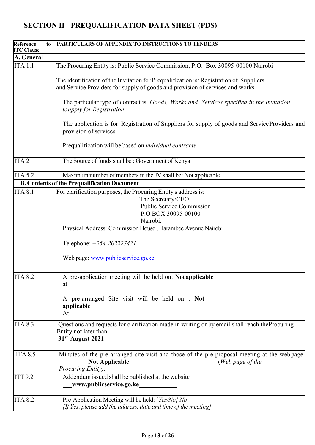# **Reference to ITC Clause PARTICULARS OF APPENDIX TO INSTRUCTIONS TO TENDERS A. General** ITA 1.1 The Procuring Entity is: Public Service Commission, P.O. Box 30095-00100 Nairobi The identification of the Invitation for Prequalification is: Registration of Suppliers and Service Providers for supply of goods and provision of services and works The particular type of contract is :*Goods, Works and Services specified in the Invitation to apply for Registration* The application is for Registration of Suppliers for supply of goods and ServiceProviders and provision of services. Prequalification will be based on *individual contracts* ITA 2 The Source of fundsshall be : Government of Kenya ITA 5.2 Maximum number of membersin the JV shall be: Not applicable **B. Contents of the Prequalification Document** ITA 8.1 For clarification purposes, the Procuring Entity's address is: The Secretary/CEO Public Service Commission P.O BOX 30095-00100 Nairobi. Physical Address: Commission House , Harambee Avenue Nairobi Telephone: *+254-202227471* Web page: www.publicservice.go.ke ITA 8.2 A pre-application meeting will be held on: **Notapplicable** at A pre-arranged Site visit will be held on : **Not applicable** At ITA 8.3 Questions and requests for clarification made in writing or by email shall reach theProcuring Entity not later than **31st August 2021** ITA 8.5 Minutes of the pre-arranged site visit and those of the pre-proposal meeting at the web page **Not Applicable** (*Web page of the Procuring Entity).* ITT 9.2 Addendum issued shall be published at the website **www.publicservice.go.ke** ITA 8.2 Pre-Application Meeting will be held: [*Yes/No] No [If Yes, please add the address, date and time of the meeting]*

# **SECTION II - PREQUALIFICATION DATA SHEET (PDS)**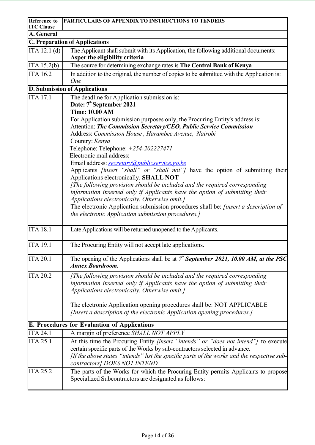| <b>Reference to</b><br><b>ITC Clause</b> | <b>PARTICULARS OF APPENDIX TO INSTRUCTIONS TO TENDERS</b>                                                                                                                                                                                                                                                                                                                                                  |
|------------------------------------------|------------------------------------------------------------------------------------------------------------------------------------------------------------------------------------------------------------------------------------------------------------------------------------------------------------------------------------------------------------------------------------------------------------|
| A. General                               |                                                                                                                                                                                                                                                                                                                                                                                                            |
|                                          | <b>C. Preparation of Applications</b>                                                                                                                                                                                                                                                                                                                                                                      |
| ITA 12.1 (d)                             | The Applicant shall submit with its Application, the following additional documents:                                                                                                                                                                                                                                                                                                                       |
|                                          | Asper the eligibility criteria                                                                                                                                                                                                                                                                                                                                                                             |
| ITA 15.2(b)                              | The source for determining exchange rates is The Central Bank of Kenya                                                                                                                                                                                                                                                                                                                                     |
| <b>ITA 16.2</b>                          | In addition to the original, the number of copies to be submitted with the Application is:<br><b>One</b>                                                                                                                                                                                                                                                                                                   |
|                                          | <b>D. Submission of Applications</b>                                                                                                                                                                                                                                                                                                                                                                       |
| <b>ITA 17.1</b>                          | The deadline for Application submission is:<br>Date: 7 <sup>th</sup> September 2021<br><b>Time: 10.00 AM</b><br>For Application submission purposes only, the Procuring Entity's address is:<br>Attention: The Commission Secretary/CEO, Public Service Commission                                                                                                                                         |
|                                          | Address: Commission House, Harambee Avenue, Nairobi<br>Country: Kenya<br>Telephone: Telephone: +254-202227471<br>Electronic mail address:<br>Email address: secretary@publicservice.go.ke<br>Applicants <i>[insert "shall" or "shall not"]</i> have the option of submitting their<br>Applications electronically. SHALL NOT<br>[The following provision should be included and the required corresponding |
|                                          | information inserted only if Applicants have the option of submitting their<br>Applications electronically. Otherwise omit.]<br>The electronic Application submission procedures shall be: [insert a description of<br>the electronic Application submission procedures.]                                                                                                                                  |
| <b>ITA 18.1</b>                          | Late Applications will be returned unopened to the Applicants.                                                                                                                                                                                                                                                                                                                                             |
| <b>ITA 19.1</b>                          | The Procuring Entity will not accept late applications.                                                                                                                                                                                                                                                                                                                                                    |
| <b>ITA 20.1</b>                          | The opening of the Applications shall be at $7^{\prime\prime}$ September 2021, 10.00 AM, at the PSC<br><b>Annex Boardroom.</b>                                                                                                                                                                                                                                                                             |
| <b>ITA 20.2</b>                          | [The following provision should be included and the required corresponding]<br>information inserted only if Applicants have the option of submitting their<br>Applications electronically. Otherwise omit.]                                                                                                                                                                                                |
|                                          | The electronic Application opening procedures shall be: NOT APPLICABLE<br>[Insert a description of the electronic Application opening procedures.]                                                                                                                                                                                                                                                         |
|                                          | <b>E. Procedures for Evaluation of Applications</b>                                                                                                                                                                                                                                                                                                                                                        |
| <b>ITA 24.1</b>                          | A margin of preference SHALL NOT APPLY                                                                                                                                                                                                                                                                                                                                                                     |
| <b>ITA 25.1</b>                          | At this time the Procuring Entity [insert "intends" or "does not intend"] to execute<br>certain specific parts of the Works by sub-contractors selected in advance.<br>[If the above states "intends" list the specific parts of the works and the respective sub-<br>contractors] DOES NOT INTEND                                                                                                         |
| <b>ITA 25.2</b>                          | The parts of the Works for which the Procuring Entity permits Applicants to propose<br>Specialized Subcontractors are designated as follows:                                                                                                                                                                                                                                                               |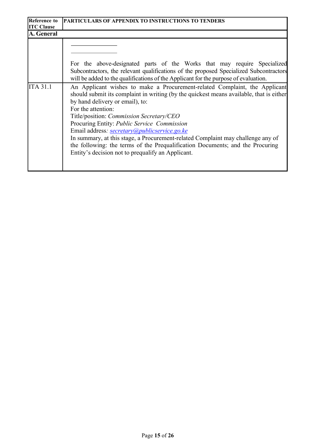| <b>Reference to</b><br><b>ITC Clause</b> | <b>PARTICULARS OF APPENDIX TO INSTRUCTIONS TO TENDERS</b>                                                                                                                                                                                                                                                                                                                                                                                                                                                                                                                                          |
|------------------------------------------|----------------------------------------------------------------------------------------------------------------------------------------------------------------------------------------------------------------------------------------------------------------------------------------------------------------------------------------------------------------------------------------------------------------------------------------------------------------------------------------------------------------------------------------------------------------------------------------------------|
| A. General                               |                                                                                                                                                                                                                                                                                                                                                                                                                                                                                                                                                                                                    |
|                                          | For the above-designated parts of the Works that may require Specialized<br>Subcontractors, the relevant qualifications of the proposed Specialized Subcontractors<br>will be added to the qualifications of the Applicant for the purpose of evaluation.                                                                                                                                                                                                                                                                                                                                          |
| <b>ITA 31.1</b>                          | An Applicant wishes to make a Procurement-related Complaint, the Applicant<br>should submit its complaint in writing (by the quickest means available, that is either<br>by hand delivery or email), to:<br>For the attention:<br>Title/position: Commission Secretary/CEO<br>Procuring Entity: Public Service Commission<br>Email address: secretary@publicservice.go.ke<br>In summary, at this stage, a Procurement-related Complaint may challenge any of<br>the following: the terms of the Prequalification Documents; and the Procuring<br>Entity's decision not to prequalify an Applicant. |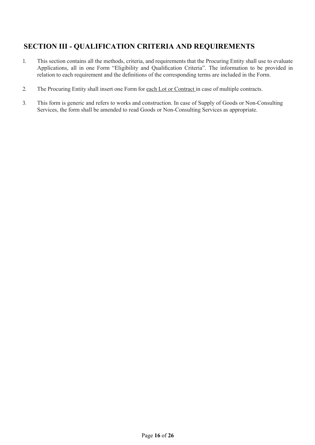## **SECTION III - QUALIFICATION CRITERIA AND REQUIREMENTS**

- 1. This section contains all the methods, criteria, and requirements that the Procuring Entity shall use to evaluate Applications, all in one Form "Eligibility and Qualification Criteria". The information to be provided in relation to each requirement and the definitions of the corresponding terms are included in the Form.
- 2. The Procuring Entity shall insert one Form for each Lot or Contract in case of multiple contracts.
- 3. This form is generic and refers to works and construction. In case of Supply of Goods or Non-Consulting Services, the form shall be amended to read Goods or Non-Consulting Services as appropriate.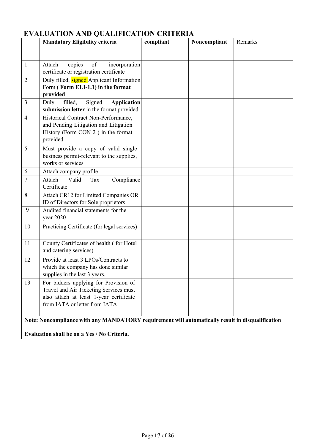|                                                                                                                                                 | <b>Mandatory Eligibility criteria</b>                                                                                                                       | compliant | Noncompliant | Remarks |  |  |
|-------------------------------------------------------------------------------------------------------------------------------------------------|-------------------------------------------------------------------------------------------------------------------------------------------------------------|-----------|--------------|---------|--|--|
|                                                                                                                                                 |                                                                                                                                                             |           |              |         |  |  |
| 1                                                                                                                                               | Attach<br>copies<br>of<br>incorporation<br>certificate or registration certificate                                                                          |           |              |         |  |  |
| $\overline{2}$                                                                                                                                  | Duly filled, signed Applicant Information<br>Form (Form ELI-1.1) in the format<br>provided                                                                  |           |              |         |  |  |
| 3                                                                                                                                               | Duly<br>filled,<br>Signed<br><b>Application</b><br>submission letter in the format provided.                                                                |           |              |         |  |  |
| 4                                                                                                                                               | Historical Contract Non-Performance,<br>and Pending Litigation and Litigation<br>History (Form CON 2) in the format<br>provided                             |           |              |         |  |  |
| 5                                                                                                                                               | Must provide a copy of valid single<br>business permit-relevant to the supplies,<br>works or services                                                       |           |              |         |  |  |
| 6                                                                                                                                               | Attach company profile                                                                                                                                      |           |              |         |  |  |
| 7                                                                                                                                               | Attach<br>Valid<br>Compliance<br>Tax<br>Certificate.                                                                                                        |           |              |         |  |  |
| 8                                                                                                                                               | Attach CR12 for Limited Companies OR<br>ID of Directors for Sole proprietors                                                                                |           |              |         |  |  |
| 9                                                                                                                                               | Audited financial statements for the<br>year 2020                                                                                                           |           |              |         |  |  |
| 10                                                                                                                                              | Practicing Certificate (for legal services)                                                                                                                 |           |              |         |  |  |
| 11                                                                                                                                              | County Certificates of health (for Hotel<br>and catering services)                                                                                          |           |              |         |  |  |
| 12                                                                                                                                              | Provide at least 3 LPOs/Contracts to<br>which the company has done similar<br>supplies in the last 3 years.                                                 |           |              |         |  |  |
| 13                                                                                                                                              | For bidders applying for Provision of<br>Travel and Air Ticketing Services must<br>also attach at least 1-year certificate<br>from IATA or letter from IATA |           |              |         |  |  |
| Note: Noncompliance with any MANDATORY requirement will automatically result in disqualification<br>Evaluation shall be on a Yes / No Criteria. |                                                                                                                                                             |           |              |         |  |  |
|                                                                                                                                                 |                                                                                                                                                             |           |              |         |  |  |

# **EVALUATION AND QUALIFICATION CRITERIA**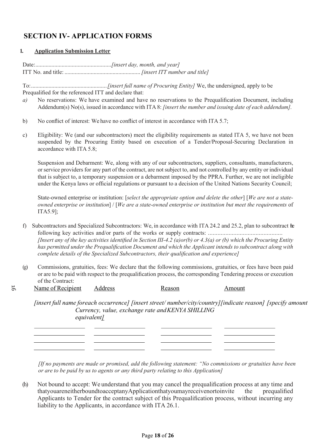# **SECTION IV- APPLICATION FORMS**

#### **1. Application Submission Letter**

Date:....................................................*[insert day, month, and year]* ITT No. and title: ....................................................*[insert ITT number and title]*

To:....................................................*[insert full name of Procuring Entity]* We, the undersigned, apply to be Prequalified for the referenced ITT and declare that:

- *a)* No reservations: We have examined and have no reservations to the Prequalification Document, including Addendum(s) No(s), issued in accordance with ITA 8: *[insert the number and issuing date of each addendum].*
- b) No conflict of interest: We have no conflict of interest in accordance with ITA 5.7;
- c) Eligibility: We (and our subcontractors) meet the eligibility requirements as stated ITA 5, we have not been suspended by the Procuring Entity based on execution of a Tender/Proposal-Securing Declaration in accordance with ITA 5.8;

Suspension and Debarment: We, along with any of our subcontractors, suppliers, consultants, manufacturers, or service providers for any part of the contract, are not subject to, and not controlled by any entity or individual that is subject to, a temporary suspension or a debarment imposed by the PPRA. Further, we are not ineligible under the Kenya laws or official regulations or pursuant to a decision of the United Nations Security Council;

State-owned enterprise or institution: [*select the appropriate option and delete the other*] [*We are not a stateowned enterprise or institution*] / [*We are a state-owned enterprise or institution but meet the requirements* of ITA5.9];

- f) Subcontractors and Specialized Subcontractors: We, in accordance with ITA 24.2 and 25.2, plan to subcontract the following key activities and/or parts of the works or supply contracts: *...............................................* [Insert any of the key activities identified in Section III-4.2 (a) or (b) or 4.3(a) or (b) which the Procuring Entity *has permitted under the Prequalification Document and which the Applicant intends to subcontract along with complete details of the Specialized Subcontractors, their qualification and experience]*
- (g) Commissions, gratuities, fees: We declare that the following commissions, gratuities, or fees have been paid or are to be paid with respect to the prequalification process, the corresponding Tendering process or execution of the Contract:
- Name of Recipient Address Reason Amount 5

*[insert full name foreach occurrence] [insert street/ number/city/country][indicate reason] [specify amount Currency, value, exchange rate and KENYA SHILLING equivalent]*

*[If no payments are made or promised, add the following statement: "No commissions or gratuities have been or are to be paid by us to agents or any third party relating to this Application]*

(h) Not bound to accept: We understand that you may cancel the prequalification process at any time and thatyouareneitherboundtoacceptanyApplicationthatyoumayreceivenortoinvite the prequalified Applicants to Tender for the contract subject of this Prequalification process, without incurring any liability to the Applicants, in accordance with ITA 26.1.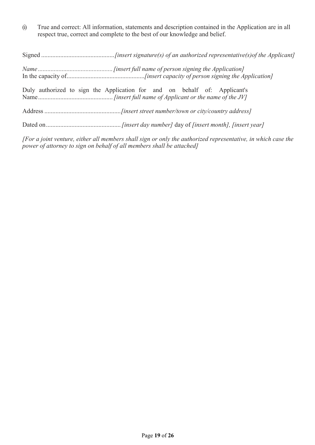(i) True and correct: All information, statements and description contained in the Application are in all respect true, correct and complete to the best of our knowledge and belief.

| Duly authorized to sign the Application for and on behalf of: Applicant's |
|---------------------------------------------------------------------------|
|                                                                           |
|                                                                           |

*[For a joint venture, either all members shall sign or only the authorized representative, in which case the power of attorney to sign on behalf of all members shall be attached]*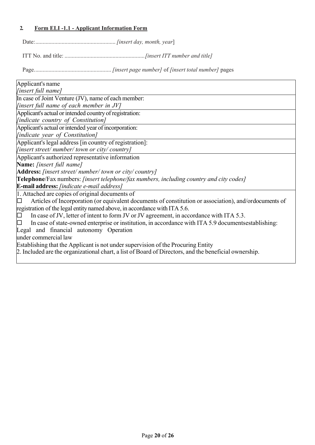### **2. Form ELI -1.1 - Applicant Information Form**

Date:.......................................................*[insert day, month, year*]

ITT No. and title: .......................................................*[insert ITT number and title]*

Page..................................................... *[insert page number]* of *[insert total number]* pages

| Applicant's name                                                                                       |
|--------------------------------------------------------------------------------------------------------|
| [insert full name]                                                                                     |
|                                                                                                        |
| In case of Joint Venture (JV), name of each member:                                                    |
| <i>linsert full name of each member in JV]</i>                                                         |
| Applicant's actual or intended country of registration:                                                |
| [indicate country of Constitution]                                                                     |
| Applicant's actual or intended year of incorporation:                                                  |
| [indicate year of Constitution]                                                                        |
| Applicant's legal address [in country of registration]:                                                |
| $[insert street/number/town or city/ country]$                                                         |
| Applicant's authorized representative information                                                      |
| Name: [insert full name]                                                                               |
| Address: [insert street/number/town or city/country]                                                   |
| Telephone/Fax numbers: [insert telephone/fax numbers, including country and city codes]                |
| E-mail address: [indicate e-mail address]                                                              |
| 1. Attached are copies of original documents of                                                        |
| Articles of Incorporation (or equivalent documents of constitution or association), and/ordocuments of |
| registration of the legal entity named above, in accordance with ITA 5.6.                              |
| In case of JV, letter of intent to form JV or JV agreement, in accordance with ITA 5.3.<br>⊡           |
| In case of state-owned enterprise or institution, in accordance with ITA 5.9 documents establishing:   |
| Legal and financial autonomy Operation                                                                 |
| under commercial law                                                                                   |
| Establishing that the Applicant is not under supervision of the Procuring Entity                       |
| 2. Included are the organizational chart, a list of Board of Directors, and the beneficial ownership.  |
|                                                                                                        |
|                                                                                                        |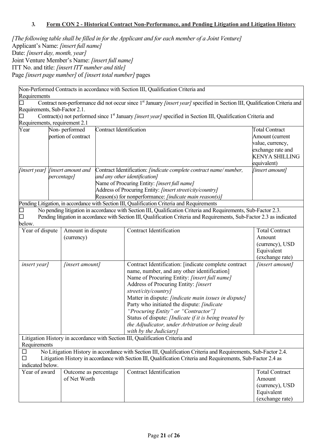#### **3. Form CON 2 - Historical Contract Non-Performance, and Pending Litigation and Litigation History**

*[The following table shall be filled in for the Applicant and for each member of a Joint Venture]* Applicant's Name: *[insert full name]*  Date: *[insert day, month, year]*  Joint Venture Member's Name: *[insert full name]*  ITT No. and title: *[insert ITT number and title]*  Page *[insert page number]* of *[insert total number]* pages

|                                       | Non-Performed Contracts in accordance with Section III, Qualification Criteria and |                           |                                |                                                                                                                                                                                                               |                               |  |
|---------------------------------------|------------------------------------------------------------------------------------|---------------------------|--------------------------------|---------------------------------------------------------------------------------------------------------------------------------------------------------------------------------------------------------------|-------------------------------|--|
| Requirements                          |                                                                                    |                           |                                |                                                                                                                                                                                                               |                               |  |
|                                       |                                                                                    |                           |                                | Contract non-performance did not occur since 1 <sup>st</sup> January <i>[insert year]</i> specified in Section III, Qualification Criteria and                                                                |                               |  |
| Requirements, Sub-Factor 2.1.         |                                                                                    |                           |                                |                                                                                                                                                                                                               |                               |  |
|                                       |                                                                                    |                           |                                | Contract(s) not performed since 1 <sup>st</sup> January <i>[insert year]</i> specified in Section III, Qualification Criteria and                                                                             |                               |  |
| Requirements, requirement 2.1<br>Year |                                                                                    | Non-performed             | <b>Contract Identification</b> |                                                                                                                                                                                                               | <b>Total Contract</b>         |  |
|                                       |                                                                                    | portion of contract       |                                |                                                                                                                                                                                                               | Amount (current               |  |
|                                       |                                                                                    |                           |                                |                                                                                                                                                                                                               | value, currency,              |  |
|                                       |                                                                                    |                           |                                |                                                                                                                                                                                                               | exchange rate and             |  |
|                                       |                                                                                    |                           |                                |                                                                                                                                                                                                               | <b>KENYA SHILLING</b>         |  |
|                                       |                                                                                    |                           |                                |                                                                                                                                                                                                               | equivalent)                   |  |
| <i>[insert year]</i>                  |                                                                                    | <i>linsert amount and</i> |                                | Contract Identification: <i>[indicate complete contract name/number,</i>                                                                                                                                      | [insert amount]               |  |
|                                       |                                                                                    | percentage]               |                                | and any other identification]                                                                                                                                                                                 |                               |  |
|                                       |                                                                                    |                           |                                | Name of Procuring Entity: [insert full name]                                                                                                                                                                  |                               |  |
|                                       |                                                                                    |                           |                                | Address of Procuring Entity: [insert street/city/country]                                                                                                                                                     |                               |  |
|                                       |                                                                                    |                           |                                | Reason(s) for nonperformance: [indicate main reason(s)]                                                                                                                                                       |                               |  |
|                                       |                                                                                    |                           |                                | Pending Litigation, in accordance with Section III, Qualification Criteria and Requirements<br>No pending litigation in accordance with Section III, Qualification Criteria and Requirements, Sub-Factor 2.3. |                               |  |
|                                       |                                                                                    |                           |                                | Pending litigation in accordance with Section III, Qualification Criteria and Requirements, Sub-Factor 2.3 as indicated                                                                                       |                               |  |
| below.                                |                                                                                    |                           |                                |                                                                                                                                                                                                               |                               |  |
| Year of dispute                       |                                                                                    | Amount in dispute         |                                | <b>Contract Identification</b>                                                                                                                                                                                | <b>Total Contract</b>         |  |
|                                       |                                                                                    | (currency)                |                                |                                                                                                                                                                                                               | Amount                        |  |
|                                       |                                                                                    |                           |                                |                                                                                                                                                                                                               | (currency), USD               |  |
|                                       |                                                                                    |                           |                                |                                                                                                                                                                                                               | Equivalent                    |  |
|                                       |                                                                                    |                           |                                |                                                                                                                                                                                                               | (exchange rate)               |  |
| <i>insert year</i> ]                  |                                                                                    | [insert amount]           |                                | Contract Identification: [indicate complete contract                                                                                                                                                          | [insert amount]               |  |
|                                       |                                                                                    |                           |                                | name, number, and any other identification]                                                                                                                                                                   |                               |  |
|                                       |                                                                                    |                           |                                | Name of Procuring Entity: [insert full name]                                                                                                                                                                  |                               |  |
|                                       |                                                                                    |                           |                                | Address of Procuring Entity: [insert                                                                                                                                                                          |                               |  |
|                                       |                                                                                    |                           |                                | street/city/country]<br>Matter in dispute: <i>[indicate main issues in dispute]</i>                                                                                                                           |                               |  |
|                                       |                                                                                    |                           |                                | Party who initiated the dispute: <i>[indicate</i>                                                                                                                                                             |                               |  |
|                                       |                                                                                    |                           |                                | "Procuring Entity" or "Contractor"]                                                                                                                                                                           |                               |  |
|                                       |                                                                                    |                           |                                | Status of dispute: [Indicate if it is being treated by                                                                                                                                                        |                               |  |
|                                       |                                                                                    |                           |                                | the Adjudicator, under Arbitration or being dealt                                                                                                                                                             |                               |  |
|                                       |                                                                                    |                           |                                | with by the Judiciary]                                                                                                                                                                                        |                               |  |
|                                       |                                                                                    |                           |                                | Litigation History in accordance with Section III, Qualification Criteria and                                                                                                                                 |                               |  |
| Requirements                          |                                                                                    |                           |                                |                                                                                                                                                                                                               |                               |  |
| $\Box$                                |                                                                                    |                           |                                | No Litigation History in accordance with Section III, Qualification Criteria and Requirements, Sub-Factor 2.4.                                                                                                |                               |  |
| $\Box$                                |                                                                                    |                           |                                | Litigation History in accordance with Section III, Qualification Criteria and Requirements, Sub-Factor 2.4 as                                                                                                 |                               |  |
| indicated below.                      |                                                                                    |                           |                                |                                                                                                                                                                                                               |                               |  |
| Year of award                         |                                                                                    | Outcome as percentage     |                                | <b>Contract Identification</b>                                                                                                                                                                                | <b>Total Contract</b>         |  |
|                                       |                                                                                    | of Net Worth              |                                |                                                                                                                                                                                                               | Amount                        |  |
|                                       |                                                                                    |                           |                                |                                                                                                                                                                                                               | (currency), USD<br>Equivalent |  |
|                                       |                                                                                    |                           |                                |                                                                                                                                                                                                               | (exchange rate)               |  |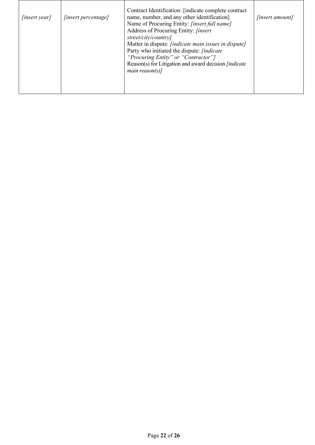| [insert year] | [insert percentage] | Contract Identification: [indicate complete contract<br>name, number, and any other identification]<br>Name of Procuring Entity: [insert full name]<br>Address of Procuring Entity: <i>[insert</i><br>street/city/country]<br>Matter in dispute: <i>[indicate main issues in dispute]</i><br>Party who initiated the dispute: <i>[indicate</i> ]<br>"Procuring Entity" or "Contractor"]<br>Reason(s) for Litigation and award decision <i>[indicate</i> ]<br>main reason(s)] | <i>[insert amount]</i> |
|---------------|---------------------|------------------------------------------------------------------------------------------------------------------------------------------------------------------------------------------------------------------------------------------------------------------------------------------------------------------------------------------------------------------------------------------------------------------------------------------------------------------------------|------------------------|
|---------------|---------------------|------------------------------------------------------------------------------------------------------------------------------------------------------------------------------------------------------------------------------------------------------------------------------------------------------------------------------------------------------------------------------------------------------------------------------------------------------------------------------|------------------------|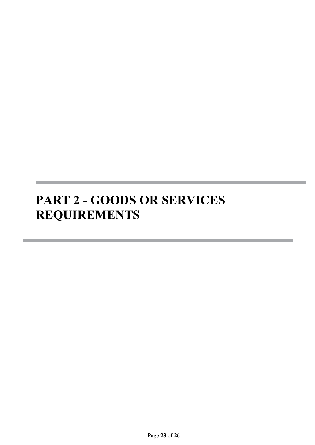# **PART 2 - GOODS OR SERVICES REQUIREMENTS**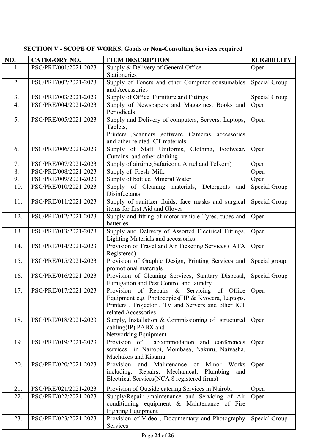| NO. | <b>CATEGORY NO.</b>   | <b>ITEM DESCRIPTION</b>                                                                                                                                                      | <b>ELIGIBILITY</b> |
|-----|-----------------------|------------------------------------------------------------------------------------------------------------------------------------------------------------------------------|--------------------|
| 1.  | PSC/PRE/001/2021-2023 | Supply & Delivery of General Office                                                                                                                                          | Open               |
|     |                       | Stationeries                                                                                                                                                                 |                    |
| 2.  | PSC/PRE/002/2021-2023 | Supply of Toners and other Computer consumables                                                                                                                              | Special Group      |
|     |                       | and Accessories                                                                                                                                                              |                    |
| 3.  | PSC/PRE/003/2021-2023 | Supply of Office Furniture and Fittings                                                                                                                                      | Special Group      |
| 4.  | PSC/PRE/004/2021-2023 | Supply of Newspapers and Magazines, Books and<br>Periodicals                                                                                                                 | Open               |
| 5.  | PSC/PRE/005/2021-2023 | Supply and Delivery of computers, Servers, Laptops,<br>Tablets,<br>Printers ,Scanners ,software, Cameras, accessories<br>and other related ICT materials                     | Open               |
| 6.  | PSC/PRE/006/2021-2023 | Supply of Staff Uniforms, Clothing, Footwear,<br>Curtains and other clothing                                                                                                 | Open               |
| 7.  | PSC/PRE/007/2021-2023 | Supply of airtime(Safaricom, Airtel and Telkom)                                                                                                                              | Open               |
| 8.  | PSC/PRE/008/2021-2023 | Supply of Fresh Milk                                                                                                                                                         | Open               |
| 9.  | PSC/PRE/009/2021-2023 | Supply of bottled Mineral Water                                                                                                                                              | Open               |
| 10. | PSC/PRE/010/2021-2023 | Supply of Cleaning materials, Detergents<br>and<br>Disinfectants                                                                                                             | Special Group      |
| 11. | PSC/PRE/011/2021-2023 | Supply of sanitizer fluids, face masks and surgical<br>items for first Aid and Gloves                                                                                        | Special Group      |
| 12. | PSC/PRE/012/2021-2023 | Supply and fitting of motor vehicle Tyres, tubes and<br>batteries                                                                                                            | Open               |
| 13. | PSC/PRE/013/2021-2023 | Supply and Delivery of Assorted Electrical Fittings,<br>Lighting Materials and accessories                                                                                   | Open               |
| 14. | PSC/PRE/014/2021-2023 | Provision of Travel and Air Ticketing Services (IATA<br>Registered)                                                                                                          | Open               |
| 15. | PSC/PRE/015/2021-2023 | Provision of Graphic Design, Printing Services and<br>promotional materials                                                                                                  | Special group      |
| 16. | PSC/PRE/016/2021-2023 | Provision of Cleaning Services, Sanitary Disposal,<br>Fumigation and Pest Control and laundry                                                                                | Special Group      |
| 17. | PSC/PRE/017/2021-2023 | Provision of Repairs & Servicing of Office<br>Equipment e.g. Photocopies (HP & Kyocera, Laptops,<br>Printers, Projector, TV and Servers and other ICT<br>related Accessories | Open               |
| 18. | PSC/PRE/018/2021-2023 | Supply, Installation & Commissioning of structured<br>cabling(IP) PABX and<br>Networking Equipment                                                                           | Open               |
| 19. | PSC/PRE/019/2021-2023 | Provision of<br>accommodation and conferences<br>services in Nairobi, Mombasa, Nakuru, Naivasha,<br>Machakos and Kisumu                                                      | Open               |
| 20. | PSC/PRE/020/2021-2023 | Maintenance<br>Provision<br>of<br>Minor<br>Works<br>and<br>including,<br>Repairs, Mechanical,<br>Plumbing<br>and<br>Electrical Services(NCA 8 registered firms)              | Open               |
| 21. | PSC/PRE/021/2021-2023 | Provision of Outside catering Services in Nairobi                                                                                                                            | Open               |
| 22. | PSC/PRE/022/2021-2023 | Supply/Repair /maintenance and Servicing of Air                                                                                                                              | Open               |
|     |                       | conditioning equipment & Maintenance of Fire<br><b>Fighting Equipment</b>                                                                                                    |                    |
| 23. | PSC/PRE/023/2021-2023 | Provision of Video, Documentary and Photography<br>Services                                                                                                                  | Special Group      |

## **SECTION V - SCOPE OF WORKS, Goods or Non-Consulting Services required**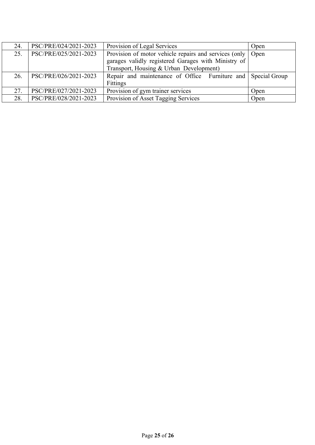| 24. | PSC/PRE/024/2021-2023 | Provision of Legal Services                                                                                                                                    | Open |
|-----|-----------------------|----------------------------------------------------------------------------------------------------------------------------------------------------------------|------|
| 25. | PSC/PRE/025/2021-2023 | Provision of motor vehicle repairs and services (only   Open<br>garages validly registered Garages with Ministry of<br>Transport, Housing & Urban Development) |      |
| 26. | PSC/PRE/026/2021-2023 | Repair and maintenance of Office Furniture and Special Group<br>Fittings                                                                                       |      |
| 27. | PSC/PRE/027/2021-2023 | Provision of gym trainer services                                                                                                                              | Open |
| 28. | PSC/PRE/028/2021-2023 | Provision of Asset Tagging Services                                                                                                                            | Open |